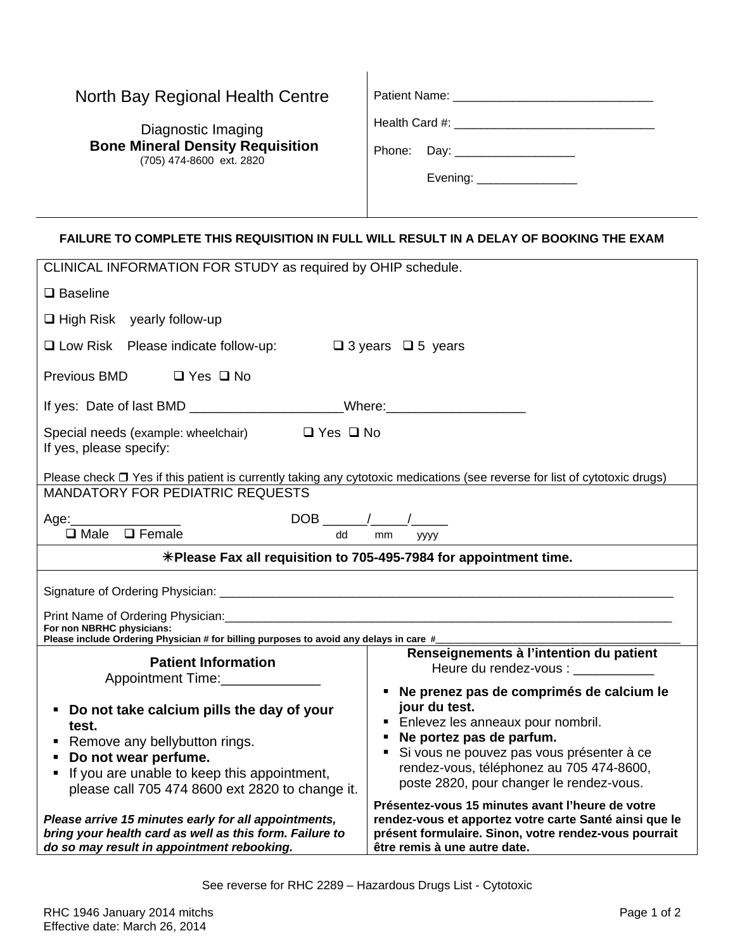## North Bay Regional Health Centre

Diagnostic Imaging  **Bone Mineral Density Requisition** (705) 474-8600 ext. 2820

| Patient Name: |  |
|---------------|--|
|               |  |

Health Card #: \_\_\_\_\_\_\_\_\_\_\_\_\_\_\_\_\_\_\_\_\_\_\_\_\_\_\_\_\_\_

Phone: Day: \_\_\_\_\_\_\_\_\_\_\_\_\_\_\_\_\_\_

Evening: \_\_\_\_\_\_\_\_\_\_\_\_\_\_\_

## **FAILURE TO COMPLETE THIS REQUISITION IN FULL WILL RESULT IN A DELAY OF BOOKING THE EXAM**

| CLINICAL INFORMATION FOR STUDY as required by OHIP schedule.                                                                                                                                                                                                 |                                                                                                                                                                                                                                                                     |  |  |  |  |
|--------------------------------------------------------------------------------------------------------------------------------------------------------------------------------------------------------------------------------------------------------------|---------------------------------------------------------------------------------------------------------------------------------------------------------------------------------------------------------------------------------------------------------------------|--|--|--|--|
| $\square$ Baseline                                                                                                                                                                                                                                           |                                                                                                                                                                                                                                                                     |  |  |  |  |
| $\Box$ High Risk yearly follow-up                                                                                                                                                                                                                            |                                                                                                                                                                                                                                                                     |  |  |  |  |
| $\Box$ Low Risk Please indicate follow-up: $\Box$ 3 years $\Box$ 5 years                                                                                                                                                                                     |                                                                                                                                                                                                                                                                     |  |  |  |  |
| Previous BMD<br>$\Box$ Yes $\Box$ No                                                                                                                                                                                                                         |                                                                                                                                                                                                                                                                     |  |  |  |  |
| If yes: Date of last BMD _________________________Where:________________________                                                                                                                                                                             |                                                                                                                                                                                                                                                                     |  |  |  |  |
| Special needs (example: wheelchair) □ Yes □ No<br>If yes, please specify:                                                                                                                                                                                    |                                                                                                                                                                                                                                                                     |  |  |  |  |
| Please check □ Yes if this patient is currently taking any cytotoxic medications (see reverse for list of cytotoxic drugs)                                                                                                                                   |                                                                                                                                                                                                                                                                     |  |  |  |  |
| <b>MANDATORY FOR PEDIATRIC REQUESTS</b>                                                                                                                                                                                                                      |                                                                                                                                                                                                                                                                     |  |  |  |  |
| Age:_______                                                                                                                                                                                                                                                  |                                                                                                                                                                                                                                                                     |  |  |  |  |
| $\Box$ Male $\Box$ Female<br>dd                                                                                                                                                                                                                              | mm<br>уууу                                                                                                                                                                                                                                                          |  |  |  |  |
| *Please Fax all requisition to 705-495-7984 for appointment time.                                                                                                                                                                                            |                                                                                                                                                                                                                                                                     |  |  |  |  |
|                                                                                                                                                                                                                                                              |                                                                                                                                                                                                                                                                     |  |  |  |  |
| Print Name of Ordering Physician: Cambridge Communication of Creative Communication of Creative Communication<br>For non NBRHC physicians:<br>Please include Ordering Physician # for billing purposes to avoid any delays in care #________________________ |                                                                                                                                                                                                                                                                     |  |  |  |  |
| <b>Patient Information</b>                                                                                                                                                                                                                                   | Renseignements à l'intention du patient                                                                                                                                                                                                                             |  |  |  |  |
| Appointment Time:                                                                                                                                                                                                                                            | Heure du rendez-vous :                                                                                                                                                                                                                                              |  |  |  |  |
| Do not take calcium pills the day of your<br>test.<br>Remove any bellybutton rings.<br>Do not wear perfume.<br>If you are unable to keep this appointment,<br>please call 705 474 8600 ext 2820 to change it.                                                | " Ne prenez pas de comprimés de calcium le<br>jour du test.<br>Enlevez les anneaux pour nombril.<br>• Ne portez pas de parfum.<br>Si vous ne pouvez pas vous présenter à ce<br>rendez-vous, téléphonez au 705 474-8600,<br>poste 2820, pour changer le rendez-vous. |  |  |  |  |
| Please arrive 15 minutes early for all appointments,<br>bring your health card as well as this form. Failure to<br>do so may result in appointment rebooking.                                                                                                | Présentez-vous 15 minutes avant l'heure de votre<br>rendez-vous et apportez votre carte Santé ainsi que le<br>présent formulaire. Sinon, votre rendez-vous pourrait<br>être remis à une autre date.                                                                 |  |  |  |  |